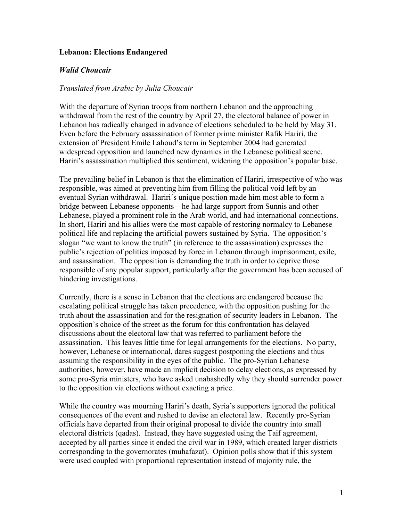## **Lebanon: Elections Endangered**

## *Walid Choucair*

## *Translated from Arabic by Julia Choucair*

With the departure of Syrian troops from northern Lebanon and the approaching withdrawal from the rest of the country by April 27, the electoral balance of power in Lebanon has radically changed in advance of elections scheduled to be held by May 31. Even before the February assassination of former prime minister Rafik Hariri, the extension of President Emile Lahoud's term in September 2004 had generated widespread opposition and launched new dynamics in the Lebanese political scene. Hariri's assassination multiplied this sentiment, widening the opposition's popular base.

The prevailing belief in Lebanon is that the elimination of Hariri, irrespective of who was responsible, was aimed at preventing him from filling the political void left by an eventual Syrian withdrawal. Hariri´s unique position made him most able to form a bridge between Lebanese opponents—he had large support from Sunnis and other Lebanese, played a prominent role in the Arab world, and had international connections. In short, Hariri and his allies were the most capable of restoring normalcy to Lebanese political life and replacing the artificial powers sustained by Syria. The opposition's slogan "we want to know the truth" (in reference to the assassination) expresses the public's rejection of politics imposed by force in Lebanon through imprisonment, exile, and assassination. The opposition is demanding the truth in order to deprive those responsible of any popular support, particularly after the government has been accused of hindering investigations.

Currently, there is a sense in Lebanon that the elections are endangered because the escalating political struggle has taken precedence, with the opposition pushing for the truth about the assassination and for the resignation of security leaders in Lebanon. The opposition's choice of the street as the forum for this confrontation has delayed discussions about the electoral law that was referred to parliament before the assassination. This leaves little time for legal arrangements for the elections. No party, however, Lebanese or international, dares suggest postponing the elections and thus assuming the responsibility in the eyes of the public. The pro-Syrian Lebanese authorities, however, have made an implicit decision to delay elections, as expressed by some pro-Syria ministers, who have asked unabashedly why they should surrender power to the opposition via elections without exacting a price.

While the country was mourning Hariri's death, Syria's supporters ignored the political consequences of the event and rushed to devise an electoral law. Recently pro-Syrian officials have departed from their original proposal to divide the country into small electoral districts (qadas). Instead, they have suggested using the Taif agreement, accepted by all parties since it ended the civil war in 1989, which created larger districts corresponding to the governorates (muhafazat). Opinion polls show that if this system were used coupled with proportional representation instead of majority rule, the